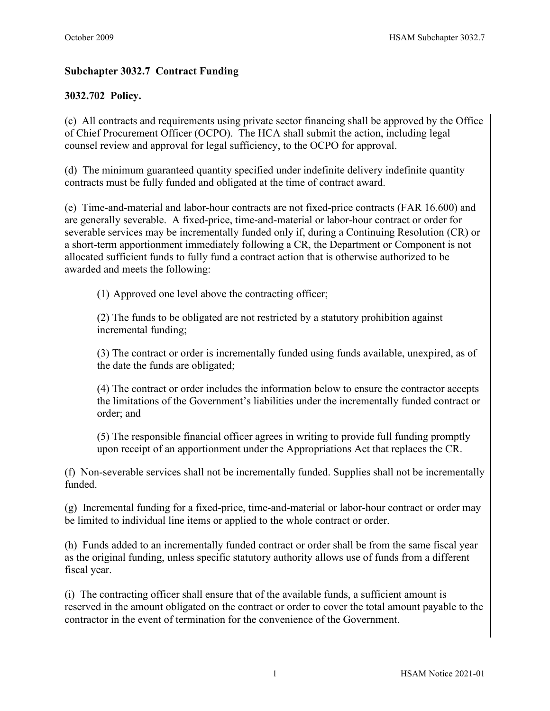# **Subchapter 3032.7 Contract Funding**

# **3032.702 Policy.**

(c) All contracts and requirements using private sector financing shall be approved by the Office of Chief Procurement Officer (OCPO). The HCA shall submit the action, including legal counsel review and approval for legal sufficiency, to the OCPO for approval.

(d) The minimum guaranteed quantity specified under indefinite delivery indefinite quantity contracts must be fully funded and obligated at the time of contract award.

(e) Time-and-material and labor-hour contracts are not fixed-price contracts (FAR 16.600) and are generally severable. A fixed-price, time-and-material or labor-hour contract or order for severable services may be incrementally funded only if, during a Continuing Resolution (CR) or a short-term apportionment immediately following a CR, the Department or Component is not allocated sufficient funds to fully fund a contract action that is otherwise authorized to be awarded and meets the following:

(1) Approved one level above the contracting officer;

(2) The funds to be obligated are not restricted by a statutory prohibition against incremental funding;

(3) The contract or order is incrementally funded using funds available, unexpired, as of the date the funds are obligated;

(4) The contract or order includes the information below to ensure the contractor accepts the limitations of the Government's liabilities under the incrementally funded contract or order; and

(5) The responsible financial officer agrees in writing to provide full funding promptly upon receipt of an apportionment under the Appropriations Act that replaces the CR.

(f) Non-severable services shall not be incrementally funded. Supplies shall not be incrementally funded.

(g) Incremental funding for a fixed-price, time-and-material or labor-hour contract or order may be limited to individual line items or applied to the whole contract or order.

(h) Funds added to an incrementally funded contract or order shall be from the same fiscal year as the original funding, unless specific statutory authority allows use of funds from a different fiscal year.

(i) The contracting officer shall ensure that of the available funds, a sufficient amount is reserved in the amount obligated on the contract or order to cover the total amount payable to the contractor in the event of termination for the convenience of the Government.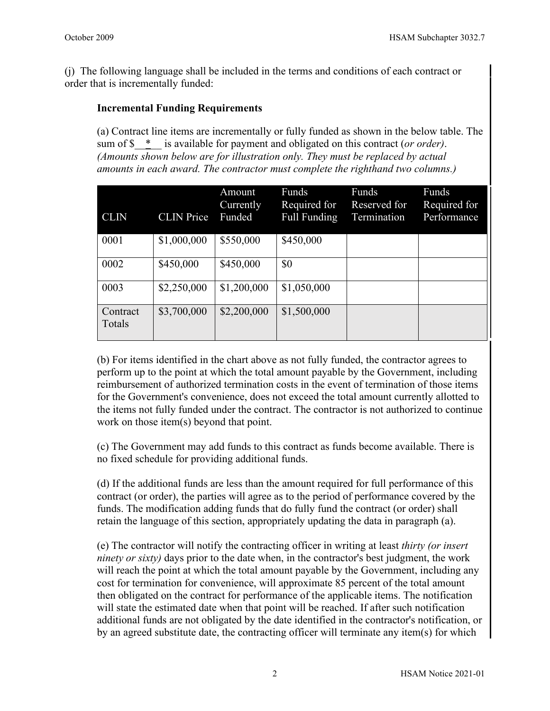(j) The following language shall be included in the terms and conditions of each contract or order that is incrementally funded:

## **Incremental Funding Requirements**

(a) Contract line items are incrementally or fully funded as shown in the below table. The sum of \$\_\_\*\_\_ is available for payment and obligated on this contract (*or order)*. *(Amounts shown below are for illustration only. They must be replaced by actual amounts in each award. The contractor must complete the righthand two columns.)*

| <b>CLIN</b>        | <b>CLIN</b> Price | Amount<br>Currently<br>Funded | Funds<br>Required for<br>Full Funding | Funds<br>Reserved for<br>Termination | Funds<br>Required for<br>Performance |
|--------------------|-------------------|-------------------------------|---------------------------------------|--------------------------------------|--------------------------------------|
| 0001               | \$1,000,000       | \$550,000                     | \$450,000                             |                                      |                                      |
| 0002               | \$450,000         | \$450,000                     | \$0                                   |                                      |                                      |
| 0003               | \$2,250,000       | \$1,200,000                   | \$1,050,000                           |                                      |                                      |
| Contract<br>Totals | \$3,700,000       | \$2,200,000                   | \$1,500,000                           |                                      |                                      |

(b) For items identified in the chart above as not fully funded, the contractor agrees to perform up to the point at which the total amount payable by the Government, including reimbursement of authorized termination costs in the event of termination of those items for the Government's convenience, does not exceed the total amount currently allotted to the items not fully funded under the contract. The contractor is not authorized to continue work on those item(s) beyond that point.

(c) The Government may add funds to this contract as funds become available. There is no fixed schedule for providing additional funds.

(d) If the additional funds are less than the amount required for full performance of this contract (or order), the parties will agree as to the period of performance covered by the funds. The modification adding funds that do fully fund the contract (or order) shall retain the language of this section, appropriately updating the data in paragraph (a).

(e) The contractor will notify the contracting officer in writing at least *thirty (or insert ninety or sixty)* days prior to the date when, in the contractor's best judgment, the work will reach the point at which the total amount payable by the Government, including any cost for termination for convenience, will approximate 85 percent of the total amount then obligated on the contract for performance of the applicable items. The notification will state the estimated date when that point will be reached. If after such notification additional funds are not obligated by the date identified in the contractor's notification, or by an agreed substitute date, the contracting officer will terminate any item(s) for which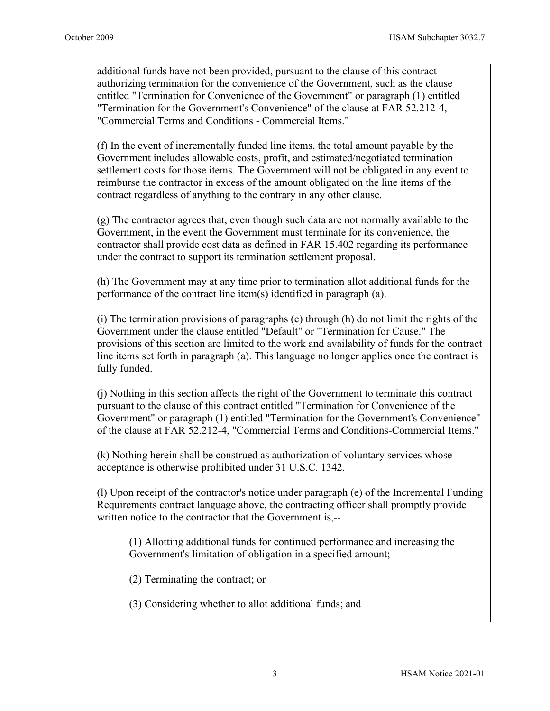additional funds have not been provided, pursuant to the clause of this contract authorizing termination for the convenience of the Government, such as the clause entitled "Termination for Convenience of the Government" or paragraph (1) entitled "Termination for the Government's Convenience" of the clause at FAR 52.212-4, "Commercial Terms and Conditions - Commercial Items."

(f) In the event of incrementally funded line items, the total amount payable by the Government includes allowable costs, profit, and estimated/negotiated termination settlement costs for those items. The Government will not be obligated in any event to reimburse the contractor in excess of the amount obligated on the line items of the contract regardless of anything to the contrary in any other clause.

(g) The contractor agrees that, even though such data are not normally available to the Government, in the event the Government must terminate for its convenience, the contractor shall provide cost data as defined in FAR 15.402 regarding its performance under the contract to support its termination settlement proposal.

(h) The Government may at any time prior to termination allot additional funds for the performance of the contract line item(s) identified in paragraph (a).

(i) The termination provisions of paragraphs (e) through (h) do not limit the rights of the Government under the clause entitled "Default" or "Termination for Cause." The provisions of this section are limited to the work and availability of funds for the contract line items set forth in paragraph (a). This language no longer applies once the contract is fully funded.

(j) Nothing in this section affects the right of the Government to terminate this contract pursuant to the clause of this contract entitled "Termination for Convenience of the Government" or paragraph (1) entitled "Termination for the Government's Convenience" of the clause at FAR 52.212-4, "Commercial Terms and Conditions-Commercial Items."

(k) Nothing herein shall be construed as authorization of voluntary services whose acceptance is otherwise prohibited under 31 U.S.C. 1342.

(l) Upon receipt of the contractor's notice under paragraph (e) of the Incremental Funding Requirements contract language above, the contracting officer shall promptly provide written notice to the contractor that the Government is,--

(1) Allotting additional funds for continued performance and increasing the Government's limitation of obligation in a specified amount;

(2) Terminating the contract; or

(3) Considering whether to allot additional funds; and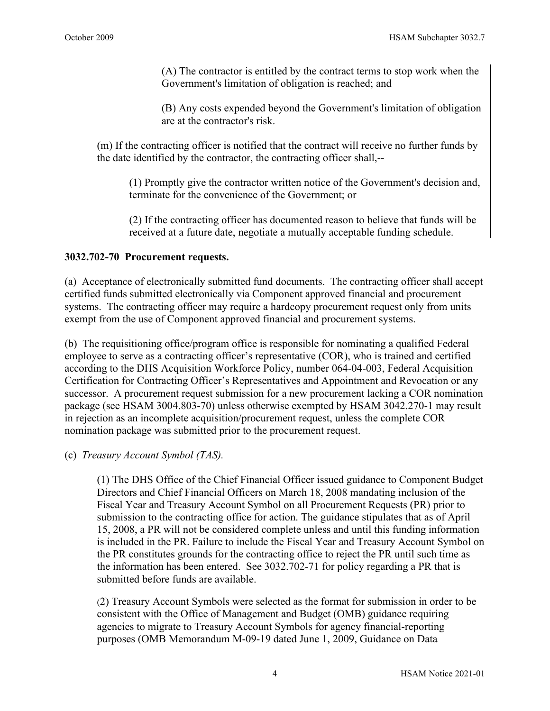(A) The contractor is entitled by the contract terms to stop work when the Government's limitation of obligation is reached; and

(B) Any costs expended beyond the Government's limitation of obligation are at the contractor's risk.

(m) If the contracting officer is notified that the contract will receive no further funds by the date identified by the contractor, the contracting officer shall,--

(1) Promptly give the contractor written notice of the Government's decision and, terminate for the convenience of the Government; or

(2) If the contracting officer has documented reason to believe that funds will be received at a future date, negotiate a mutually acceptable funding schedule.

## **3032.702-70 Procurement requests.**

(a) Acceptance of electronically submitted fund documents. The contracting officer shall accept certified funds submitted electronically via Component approved financial and procurement systems. The contracting officer may require a hardcopy procurement request only from units exempt from the use of Component approved financial and procurement systems.

(b) The requisitioning office/program office is responsible for nominating a qualified Federal employee to serve as a contracting officer's representative (COR), who is trained and certified according to the DHS Acquisition Workforce Policy, number 064-04-003, Federal Acquisition Certification for Contracting Officer's Representatives and Appointment and Revocation or any successor. A procurement request submission for a new procurement lacking a COR nomination package (see HSAM 3004.803-70) unless otherwise exempted by HSAM 3042.270-1 may result in rejection as an incomplete acquisition/procurement request, unless the complete COR nomination package was submitted prior to the procurement request.

## (c) *Treasury Account Symbol (TAS).*

(1) The DHS Office of the Chief Financial Officer issued guidance to Component Budget Directors and Chief Financial Officers on March 18, 2008 mandating inclusion of the Fiscal Year and Treasury Account Symbol on all Procurement Requests (PR) prior to submission to the contracting office for action. The guidance stipulates that as of April 15, 2008, a PR will not be considered complete unless and until this funding information is included in the PR. Failure to include the Fiscal Year and Treasury Account Symbol on the PR constitutes grounds for the contracting office to reject the PR until such time as the information has been entered. See 3032.702-71 for policy regarding a PR that is submitted before funds are available.

(2) Treasury Account Symbols were selected as the format for submission in order to be consistent with the Office of Management and Budget (OMB) guidance requiring agencies to migrate to Treasury Account Symbols for agency financial-reporting purposes (OMB Memorandum M-09-19 dated June 1, 2009, Guidance on Data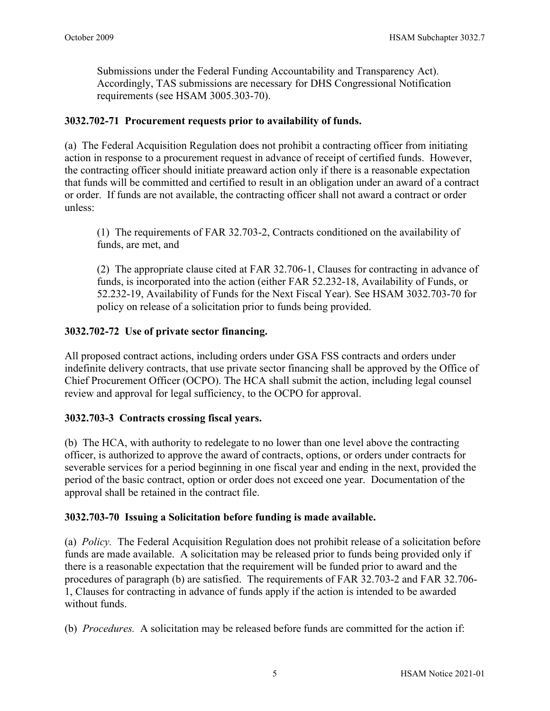Submissions under the Federal Funding Accountability and Transparency Act). Accordingly, TAS submissions are necessary for DHS Congressional Notification requirements (see HSAM 3005.303-70).

## **3032.702-71 Procurement requests prior to availability of funds.**

(a) The Federal Acquisition Regulation does not prohibit a contracting officer from initiating action in response to a procurement request in advance of receipt of certified funds. However, the contracting officer should initiate preaward action only if there is a reasonable expectation that funds will be committed and certified to result in an obligation under an award of a contract or order. If funds are not available, the contracting officer shall not award a contract or order unless:

(1) The requirements of FAR 32.703-2, Contracts conditioned on the availability of funds, are met, and

(2) The appropriate clause cited at FAR 32.706-1, Clauses for contracting in advance of funds, is incorporated into the action (either FAR 52.232-18, Availability of Funds, or 52.232-19, Availability of Funds for the Next Fiscal Year). See HSAM 3032.703-70 for policy on release of a solicitation prior to funds being provided.

## **3032.702-72 Use of private sector financing.**

All proposed contract actions, including orders under GSA FSS contracts and orders under indefinite delivery contracts, that use private sector financing shall be approved by the Office of Chief Procurement Officer (OCPO). The HCA shall submit the action, including legal counsel review and approval for legal sufficiency, to the OCPO for approval.

### **3032.703-3 Contracts crossing fiscal years.**

(b) The HCA, with authority to redelegate to no lower than one level above the contracting officer, is authorized to approve the award of contracts, options, or orders under contracts for severable services for a period beginning in one fiscal year and ending in the next, provided the period of the basic contract, option or order does not exceed one year. Documentation of the approval shall be retained in the contract file.

### **3032.703-70 Issuing a Solicitation before funding is made available.**

(a) *Policy.* The Federal Acquisition Regulation does not prohibit release of a solicitation before funds are made available. A solicitation may be released prior to funds being provided only if there is a reasonable expectation that the requirement will be funded prior to award and the procedures of paragraph (b) are satisfied. The requirements of FAR 32.703-2 and FAR 32.706- 1, Clauses for contracting in advance of funds apply if the action is intended to be awarded without funds.

(b) *Procedures.* A solicitation may be released before funds are committed for the action if: